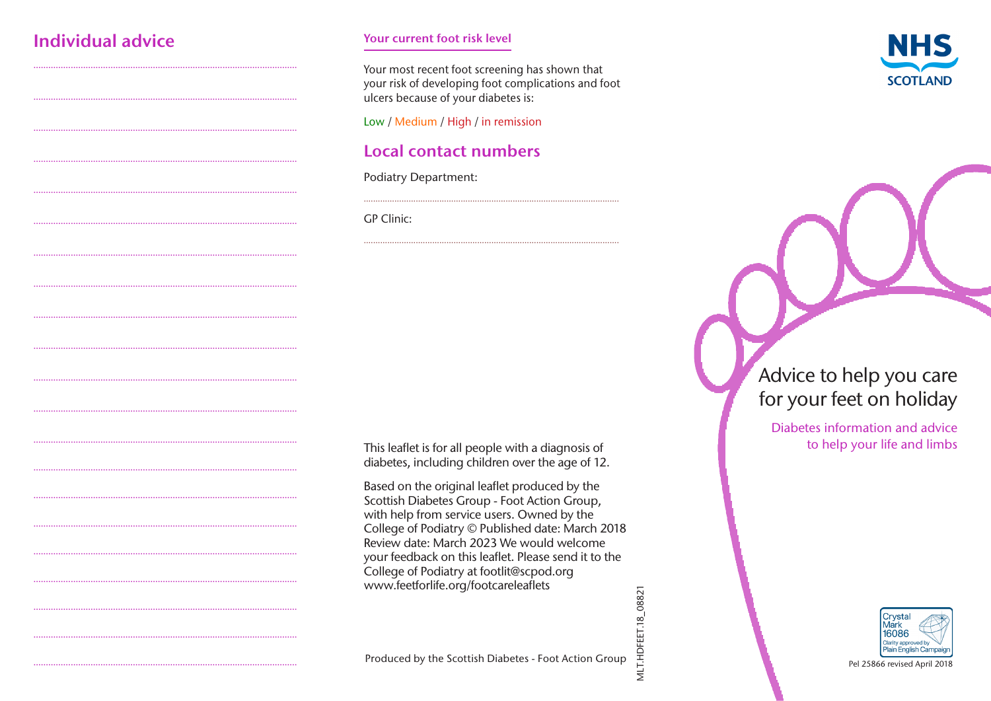# Individual advice

#### Your current foot risk level

Your most recent foot screening has shown that your risk of developing foot complications and foot ulcers because of your diabetes is:

Low / Medium / High / in remission

# **Local contact numbers**

**Podiatry Department:** 

**GP** Clinic:

This leaflet is for all people with a diagnosis of diabetes, including children over the age of 12.

Based on the original leaflet produced by the Scottish Diabetes Group - Foot Action Group, with help from service users. Owned by the College of Podiatry © Published date: March 2018 Review date: March 2023 We would welcome your feedback on this leaflet. Please send it to the College of Podiatry at footlit@scpod.org www.feetforlife.org/footcareleaflets





# Advice to help you care for your feet on holiday

Diabetes information and advice to help your life and limbs



Pel 25866 revised April 2018